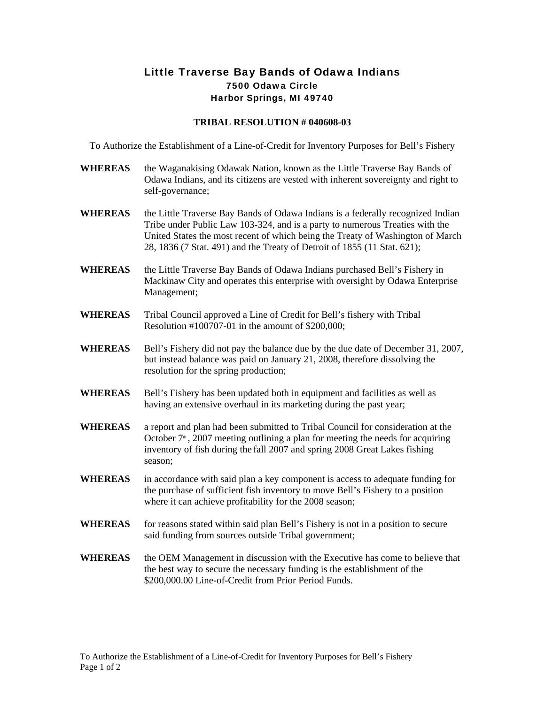## Little Traverse Bay Bands of Odawa Indians 7500 Odawa Circle Harbor Springs, MI 49740

## **TRIBAL RESOLUTION # 040608-03**

To Authorize the Establishment of a Line-of-Credit for Inventory Purposes for Bell's Fishery

- **WHEREAS** the Waganakising Odawak Nation, known as the Little Traverse Bay Bands of Odawa Indians, and its citizens are vested with inherent sovereignty and right to self-governance;
- WHEREAS the Little Traverse Bay Bands of Odawa Indians is a federally recognized Indian Tribe under Public Law 103-324, and is a party to numerous Treaties with the United States the most recent of which being the Treaty of Washington of March 28, 1836 (7 Stat. 491) and the Treaty of Detroit of 1855 (11 Stat. 621);
- **WHEREAS** the Little Traverse Bay Bands of Odawa Indians purchased Bell's Fishery in Mackinaw City and operates this enterprise with oversight by Odawa Enterprise Management;
- **WHEREAS** Tribal Council approved a Line of Credit for Bell's fishery with Tribal Resolution #100707-01 in the amount of \$200,000;
- **WHEREAS** Bell's Fishery did not pay the balance due by the due date of December 31, 2007, but instead balance was paid on January 21, 2008, therefore dissolving the resolution for the spring production;
- **WHEREAS** Bell's Fishery has been updated both in equipment and facilities as well as having an extensive overhaul in its marketing during the past year;
- **WHEREAS** a report and plan had been submitted to Tribal Council for consideration at the October  $7<sup>th</sup>$ , 2007 meeting outlining a plan for meeting the needs for acquiring inventory of fish during the fall 2007 and spring 2008 Great Lakes fishing season;
- **WHEREAS** in accordance with said plan a key component is access to adequate funding for the purchase of sufficient fish inventory to move Bell's Fishery to a position where it can achieve profitability for the 2008 season;
- **WHEREAS** for reasons stated within said plan Bell's Fishery is not in a position to secure said funding from sources outside Tribal government;
- **WHEREAS** the OEM Management in discussion with the Executive has come to believe that the best way to secure the necessary funding is the establishment of the \$200,000.00 Line-of-Credit from Prior Period Funds.